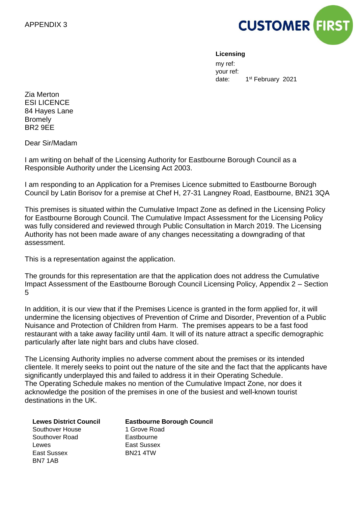

#### **Licensing**

my ref: your ref: date: 1<sup>st</sup> February 2021

Zia Merton ESI LICENCE 84 Hayes Lane Bromely BR2 9EE

Dear Sir/Madam

I am writing on behalf of the Licensing Authority for Eastbourne Borough Council as a Responsible Authority under the Licensing Act 2003.

I am responding to an Application for a Premises Licence submitted to Eastbourne Borough Council by Latin Borisov for a premise at Chef H, 27-31 Langney Road, Eastbourne, BN21 3QA

This premises is situated within the Cumulative Impact Zone as defined in the Licensing Policy for Eastbourne Borough Council. The Cumulative Impact Assessment for the Licensing Policy was fully considered and reviewed through Public Consultation in March 2019. The Licensing Authority has not been made aware of any changes necessitating a downgrading of that assessment.

This is a representation against the application.

The grounds for this representation are that the application does not address the Cumulative Impact Assessment of the Eastbourne Borough Council Licensing Policy, Appendix 2 – Section 5

In addition, it is our view that if the Premises Licence is granted in the form applied for, it will undermine the licensing objectives of Prevention of Crime and Disorder, Prevention of a Public Nuisance and Protection of Children from Harm. The premises appears to be a fast food restaurant with a take away facility until 4am. It will of its nature attract a specific demographic particularly after late night bars and clubs have closed.

The Licensing Authority implies no adverse comment about the premises or its intended clientele. It merely seeks to point out the nature of the site and the fact that the applicants have significantly underplayed this and failed to address it in their Operating Schedule. The Operating Schedule makes no mention of the Cumulative Impact Zone, nor does it acknowledge the position of the premises in one of the busiest and well-known tourist destinations in the UK.

| <b>Lewes District Council</b> | <b>Eastbourne Borough Council</b> |
|-------------------------------|-----------------------------------|
| Southover House               | 1 Grove Road                      |
| Southover Road                | Eastbourne                        |
| Lewes                         | East Sussex                       |
| East Sussex                   | <b>BN21 4TW</b>                   |
| BN7 1AB                       |                                   |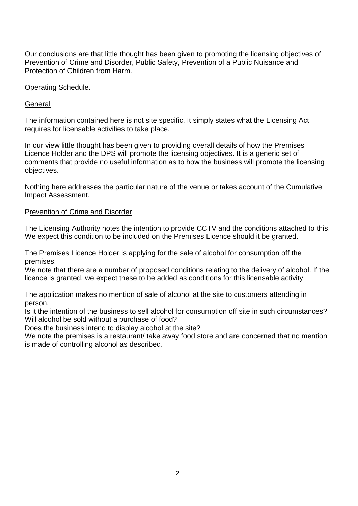Our conclusions are that little thought has been given to promoting the licensing objectives of Prevention of Crime and Disorder, Public Safety, Prevention of a Public Nuisance and Protection of Children from Harm.

## Operating Schedule.

## General

The information contained here is not site specific. It simply states what the Licensing Act requires for licensable activities to take place.

In our view little thought has been given to providing overall details of how the Premises Licence Holder and the DPS will promote the licensing objectives. It is a generic set of comments that provide no useful information as to how the business will promote the licensing objectives.

Nothing here addresses the particular nature of the venue or takes account of the Cumulative Impact Assessment.

## Prevention of Crime and Disorder

The Licensing Authority notes the intention to provide CCTV and the conditions attached to this. We expect this condition to be included on the Premises Licence should it be granted.

The Premises Licence Holder is applying for the sale of alcohol for consumption off the premises.

We note that there are a number of proposed conditions relating to the delivery of alcohol. If the licence is granted, we expect these to be added as conditions for this licensable activity.

The application makes no mention of sale of alcohol at the site to customers attending in person.

Is it the intention of the business to sell alcohol for consumption off site in such circumstances? Will alcohol be sold without a purchase of food?

Does the business intend to display alcohol at the site?

We note the premises is a restaurant/ take away food store and are concerned that no mention is made of controlling alcohol as described.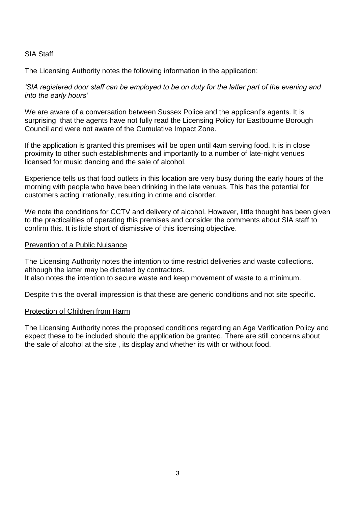## SIA Staff

The Licensing Authority notes the following information in the application:

*'SIA registered door staff can be employed to be on duty for the latter part of the evening and into the early hours'*

We are aware of a conversation between Sussex Police and the applicant's agents. It is surprising that the agents have not fully read the Licensing Policy for Eastbourne Borough Council and were not aware of the Cumulative Impact Zone.

If the application is granted this premises will be open until 4am serving food. It is in close proximity to other such establishments and importantly to a number of late-night venues licensed for music dancing and the sale of alcohol.

Experience tells us that food outlets in this location are very busy during the early hours of the morning with people who have been drinking in the late venues. This has the potential for customers acting irrationally, resulting in crime and disorder.

We note the conditions for CCTV and delivery of alcohol. However, little thought has been given to the practicalities of operating this premises and consider the comments about SIA staff to confirm this. It is little short of dismissive of this licensing objective.

## Prevention of a Public Nuisance

The Licensing Authority notes the intention to time restrict deliveries and waste collections. although the latter may be dictated by contractors. It also notes the intention to secure waste and keep movement of waste to a minimum.

Despite this the overall impression is that these are generic conditions and not site specific.

#### Protection of Children from Harm

The Licensing Authority notes the proposed conditions regarding an Age Verification Policy and expect these to be included should the application be granted. There are still concerns about the sale of alcohol at the site , its display and whether its with or without food.